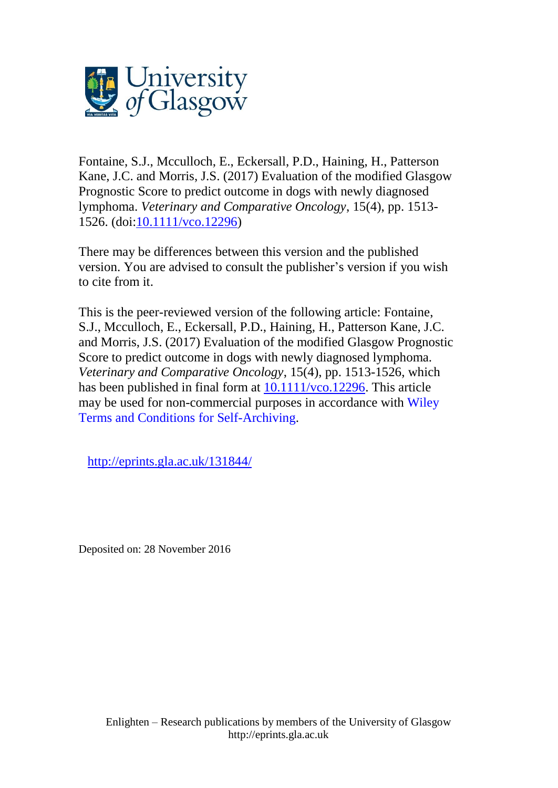

Fontaine, S.J., Mcculloch, E., Eckersall, P.D., Haining, H., Patterson Kane, J.C. and Morris, J.S. (2017) Evaluation of the modified Glasgow Prognostic Score to predict outcome in dogs with newly diagnosed lymphoma. *Veterinary and Comparative Oncology*, 15(4), pp. 1513- 1526. (doi[:10.1111/vco.12296\)](http://dx.doi.org/10.1111/vco.12296)

There may be differences between this version and the published version. You are advised to consult the publisher's version if you wish to cite from it.

This is the peer-reviewed version of the following article: Fontaine, S.J., Mcculloch, E., Eckersall, P.D., Haining, H., Patterson Kane, J.C. and Morris, J.S. (2017) Evaluation of the modified Glasgow Prognostic Score to predict outcome in dogs with newly diagnosed lymphoma. *Veterinary and Comparative Oncology*, 15(4), pp. 1513-1526, which has been published in final form at [10.1111/vco.12296.](http://dx.doi.org/10.1111/vco.12296) This article may be used for non-commercial purposes in accordance with [Wiley](http://olabout.wiley.com/WileyCDA/Section/id-828039.html#terms) Terms and Conditions for [Self-Archiving.](http://olabout.wiley.com/WileyCDA/Section/id-828039.html#terms)

<http://eprints.gla.ac.uk/131844/>

Deposited on: 28 November 2016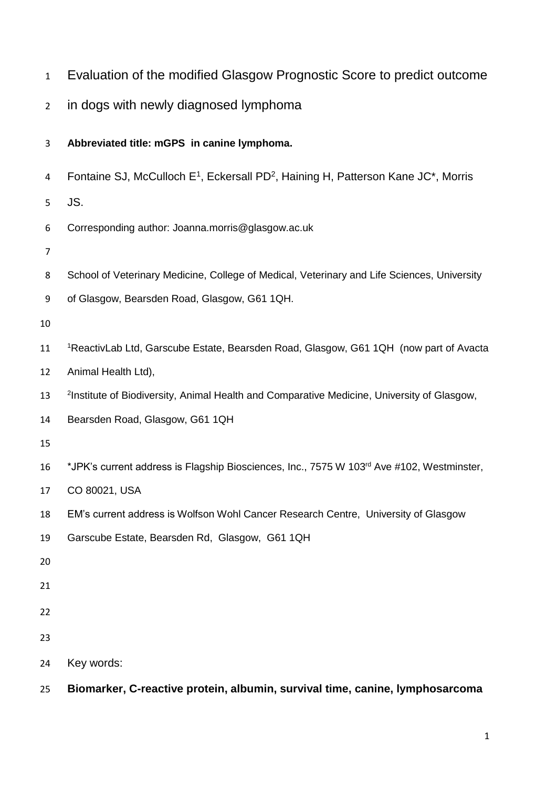- Evaluation of the modified Glasgow Prognostic Score to predict outcome
- in dogs with newly diagnosed lymphoma

# **Abbreviated title: mGPS in canine lymphoma.**

- 4 Fontaine SJ, McCulloch  $E^1$ , Eckersall PD<sup>2</sup>, Haining H, Patterson Kane JC<sup>\*</sup>, Morris
- JS.
- Corresponding author: Joanna.morris@glasgow.ac.uk
- 
- 8 School of Veterinary Medicine, College of Medical, Veterinary and Life Sciences, University
- of Glasgow, Bearsden Road, Glasgow, G61 1QH.

- 11 <sup>1</sup>ReactivLab Ltd, Garscube Estate, Bearsden Road, Glasgow, G61 1QH (now part of Avacta
- Animal Health Ltd),
- 13 <sup>2</sup>Institute of Biodiversity, Animal Health and Comparative Medicine, University of Glasgow,
- Bearsden Road, Glasgow, G61 1QH
- 
- 16 \*JPK's current address is Flagship Biosciences, Inc., 7575 W 103<sup>rd</sup> Ave #102, Westminster,
- CO 80021, USA
- EM's current address is Wolfson Wohl Cancer Research Centre, University of Glasgow
- Garscube Estate, Bearsden Rd, Glasgow, G61 1QH
- 
- 
- 
- 
- 
- Key words:
- **Biomarker, C-reactive protein, albumin, survival time, canine, lymphosarcoma**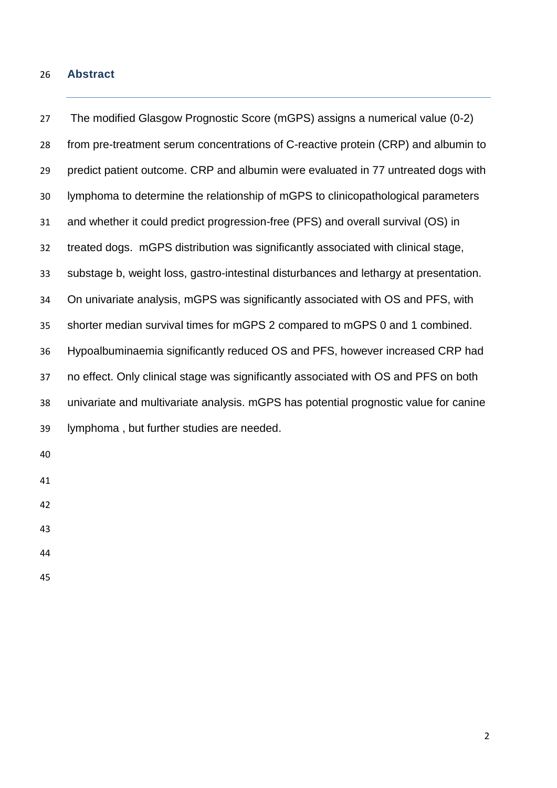### **Abstract**

 The modified Glasgow Prognostic Score (mGPS) assigns a numerical value (0-2) from pre-treatment serum concentrations of C-reactive protein (CRP) and albumin to predict patient outcome. CRP and albumin were evaluated in 77 untreated dogs with lymphoma to determine the relationship of mGPS to clinicopathological parameters and whether it could predict progression-free (PFS) and overall survival (OS) in treated dogs. mGPS distribution was significantly associated with clinical stage, substage b, weight loss, gastro-intestinal disturbances and lethargy at presentation. On univariate analysis, mGPS was significantly associated with OS and PFS, with shorter median survival times for mGPS 2 compared to mGPS 0 and 1 combined. Hypoalbuminaemia significantly reduced OS and PFS, however increased CRP had no effect. Only clinical stage was significantly associated with OS and PFS on both univariate and multivariate analysis. mGPS has potential prognostic value for canine lymphoma , but further studies are needed.

- 
-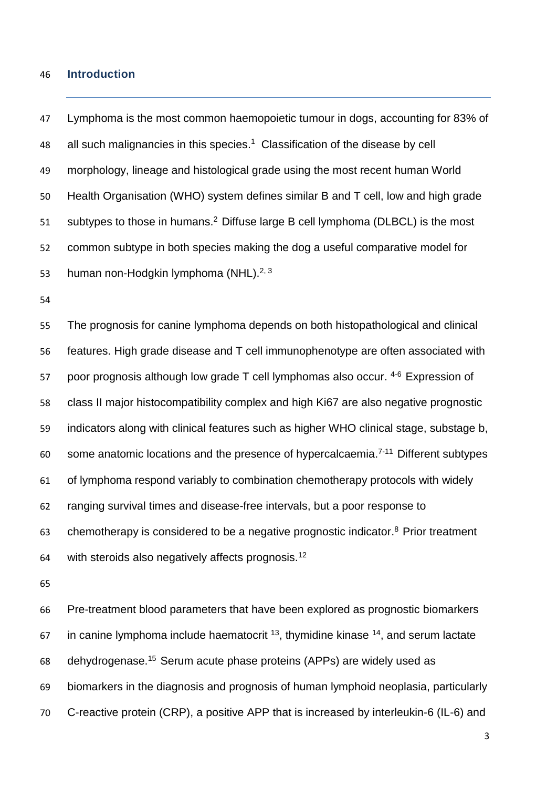### **Introduction**

 Lymphoma is the most common haemopoietic tumour in dogs, accounting for 83% of 48 all such malignancies in this species.<sup>1</sup> Classification of the disease by cell morphology, lineage and histological grade using the most recent human World Health Organisation (WHO) system defines similar B and T cell, low and high grade subtypes to those in humans.<sup>2</sup> Diffuse large B cell lymphoma (DLBCL) is the most common subtype in both species making the dog a useful comparative model for 53 human non-Hodgkin lymphoma (NHL).<sup>[2,](#page-16-1) [3](#page-16-2)</sup>

 The prognosis for canine lymphoma depends on both histopathological and clinical features. High grade disease and T cell immunophenotype are often associated with 57 poor prognosis although low grade  $T$  cell lymphomas also occur.  $4-6$  Expression of class II major histocompatibility complex and high Ki67 are also negative prognostic indicators along with clinical features such as higher WHO clinical stage, substage b, some anatomic locations and the presence of hypercalcaemia.<sup> $7-11$ </sup> Different subtypes of lymphoma respond variably to combination chemotherapy protocols with widely ranging survival times and disease-free intervals, but a poor response to 63 chemotherapy is considered to be a negative prognostic indicator.<sup>8</sup> Prior treatment 64 with steroids also negatively affects prognosis.<sup>[12](#page-16-6)</sup>

 Pre-treatment blood parameters that have been explored as prognostic biomarkers in canine lymphoma include haematocrit  $13$ , thymidine kinase  $14$ , and serum lactate 68 dehydrogenase.<sup>15</sup> Serum acute phase proteins (APPs) are widely used as biomarkers in the diagnosis and prognosis of human lymphoid neoplasia, particularly C-reactive protein (CRP), a positive APP that is increased by interleukin-6 (IL-6) and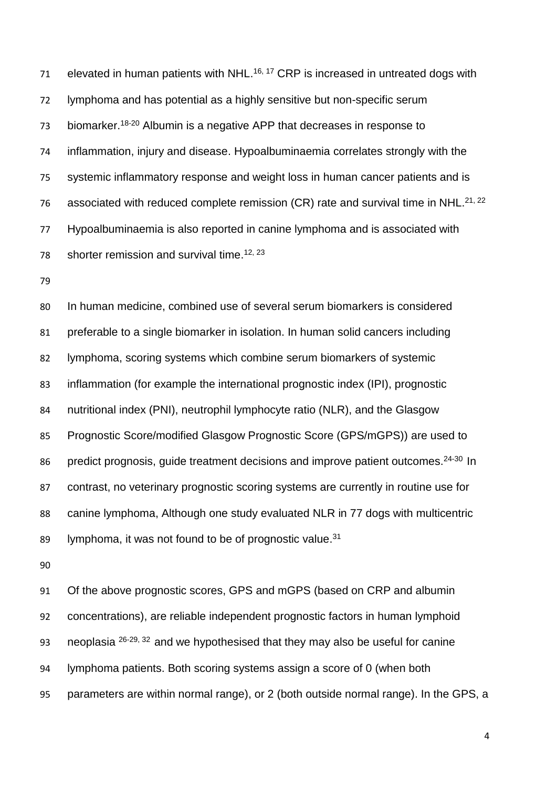elevated in human patients with NHL.<sup>[16,](#page-17-0) [17](#page-17-1)</sup> CRP is increased in untreated dogs with lymphoma and has potential as a highly sensitive but non-specific serum 73 biomarker.<sup>[18-20](#page-17-2)</sup> Albumin is a negative APP that decreases in response to inflammation, injury and disease. Hypoalbuminaemia correlates strongly with the systemic inflammatory response and weight loss in human cancer patients and is 76 associated with reduced complete remission (CR) rate and survival time in NHL. $^{21,22}$  $^{21,22}$  $^{21,22}$ 77 Hypoalbuminaemia is also reported in canine lymphoma and is associated with 78 shorter remission and survival time.<sup>[12,](#page-16-6) [23](#page-17-5)</sup>

 In human medicine, combined use of several serum biomarkers is considered preferable to a single biomarker in isolation. In human solid cancers including lymphoma, scoring systems which combine serum biomarkers of systemic inflammation (for example the international prognostic index (IPI), prognostic nutritional index (PNI), neutrophil lymphocyte ratio (NLR), and the Glasgow Prognostic Score/modified Glasgow Prognostic Score (GPS/mGPS)) are used to 86 predict prognosis, guide treatment decisions and improve patient outcomes.<sup>24-30</sup> In contrast, no veterinary prognostic scoring systems are currently in routine use for canine lymphoma, Although one study evaluated NLR in 77 dogs with multicentric 89 lymphoma, it was not found to be of prognostic value.<sup>[31](#page-17-7)</sup>

 Of the above prognostic scores, GPS and mGPS (based on CRP and albumin concentrations), are reliable independent prognostic factors in human lymphoid 93 neoplasia  $26-29$ ,  $32$  and we hypothesised that they may also be useful for canine lymphoma patients. Both scoring systems assign a score of 0 (when both parameters are within normal range), or 2 (both outside normal range). In the GPS, a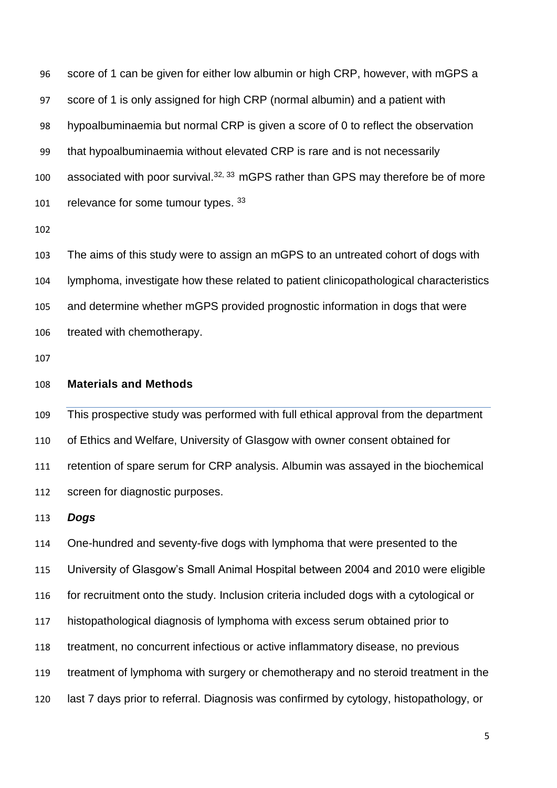score of 1 can be given for either low albumin or high CRP, however, with mGPS a score of 1 is only assigned for high CRP (normal albumin) and a patient with hypoalbuminaemia but normal CRP is given a score of 0 to reflect the observation that hypoalbuminaemia without elevated CRP is rare and is not necessarily 100 associated with poor survival. $32, 33$  $32, 33$  mGPS rather than GPS may therefore be of more 101 relevance for some tumour types. [33](#page-17-10)

 The aims of this study were to assign an mGPS to an untreated cohort of dogs with lymphoma, investigate how these related to patient clinicopathological characteristics and determine whether mGPS provided prognostic information in dogs that were treated with chemotherapy.

## **Materials and Methods**

 This prospective study was performed with full ethical approval from the department of Ethics and Welfare, University of Glasgow with owner consent obtained for retention of spare serum for CRP analysis. Albumin was assayed in the biochemical screen for diagnostic purposes.

#### *Dogs*

 One-hundred and seventy-five dogs with lymphoma that were presented to the University of Glasgow's Small Animal Hospital between 2004 and 2010 were eligible for recruitment onto the study. Inclusion criteria included dogs with a cytological or histopathological diagnosis of lymphoma with excess serum obtained prior to treatment, no concurrent infectious or active inflammatory disease, no previous treatment of lymphoma with surgery or chemotherapy and no steroid treatment in the last 7 days prior to referral. Diagnosis was confirmed by cytology, histopathology, or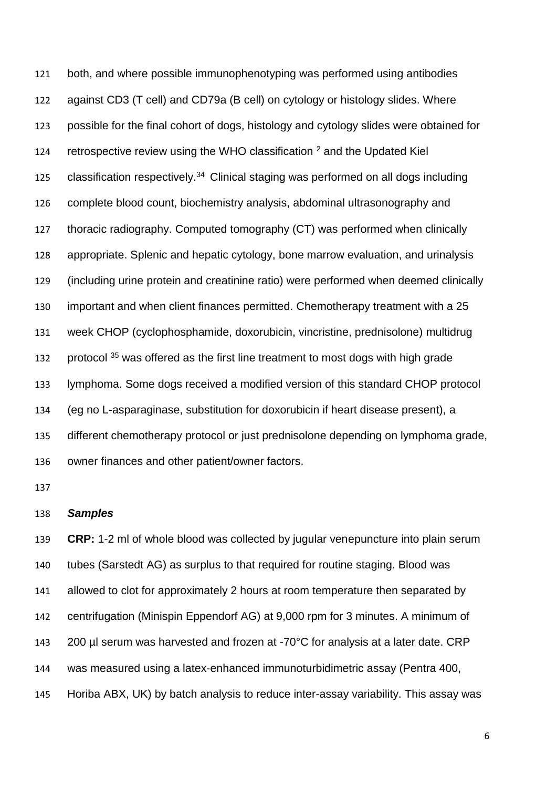both, and where possible immunophenotyping was performed using antibodies against CD3 (T cell) and CD79a (B cell) on cytology or histology slides. Where possible for the final cohort of dogs, histology and cytology slides were obtained for [2](#page-16-1)4 retrospective review using the WHO classification and the Updated Kiel 125 classification respectively. Clinical staging was performed on all dogs including complete blood count, biochemistry analysis, abdominal ultrasonography and thoracic radiography. Computed tomography (CT) was performed when clinically appropriate. Splenic and hepatic cytology, bone marrow evaluation, and urinalysis (including urine protein and creatinine ratio) were performed when deemed clinically important and when client finances permitted. Chemotherapy treatment with a 25 week CHOP (cyclophosphamide, doxorubicin, vincristine, prednisolone) multidrug 132 protocol was offered as the first line treatment to most dogs with high grade lymphoma. Some dogs received a modified version of this standard CHOP protocol (eg no L-asparaginase, substitution for doxorubicin if heart disease present), a different chemotherapy protocol or just prednisolone depending on lymphoma grade, owner finances and other patient/owner factors.

## *Samples*

 **CRP:** 1-2 ml of whole blood was collected by jugular venepuncture into plain serum tubes (Sarstedt AG) as surplus to that required for routine staging. Blood was allowed to clot for approximately 2 hours at room temperature then separated by centrifugation (Minispin Eppendorf AG) at 9,000 rpm for 3 minutes. A minimum of 143 200 µl serum was harvested and frozen at -70°C for analysis at a later date. CRP was measured using a latex-enhanced immunoturbidimetric assay (Pentra 400, Horiba ABX, UK) by batch analysis to reduce inter-assay variability. This assay was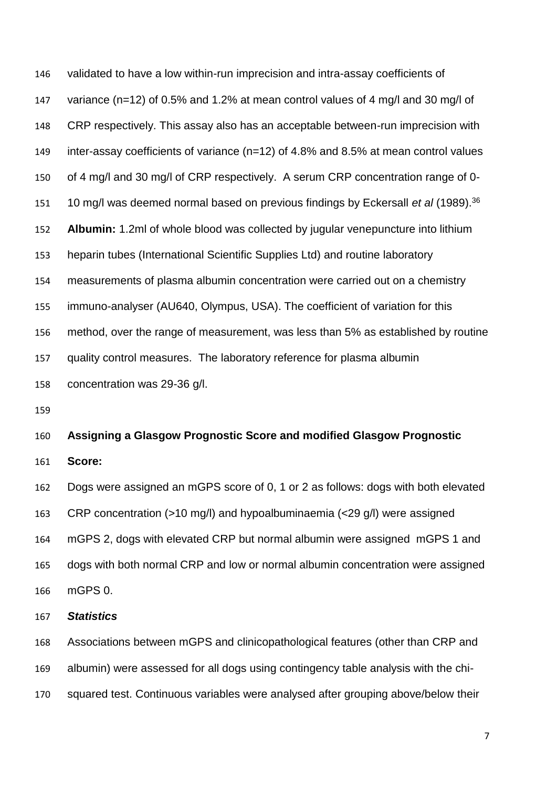validated to have a low within-run imprecision and intra-assay coefficients of variance (n=12) of 0.5% and 1.2% at mean control values of 4 mg/l and 30 mg/l of CRP respectively. This assay also has an acceptable between-run imprecision with inter-assay coefficients of variance (n=12) of 4.8% and 8.5% at mean control values of 4 mg/l and 30 mg/l of CRP respectively. A serum CRP concentration range of 0- 151 10 mg/l was deemed normal based on previous findings by Eckersall *et al* (1989).<sup>[36](#page-18-2)</sup> **Albumin:** 1.2ml of whole blood was collected by jugular venepuncture into lithium heparin tubes (International Scientific Supplies Ltd) and routine laboratory measurements of plasma albumin concentration were carried out on a chemistry immuno-analyser (AU640, Olympus, USA). The coefficient of variation for this method, over the range of measurement, was less than 5% as established by routine quality control measures. The laboratory reference for plasma albumin concentration was 29-36 g/l.

## **Assigning a Glasgow Prognostic Score and modified Glasgow Prognostic**

**Score:**

 Dogs were assigned an mGPS score of 0, 1 or 2 as follows: dogs with both elevated CRP concentration (>10 mg/l) and hypoalbuminaemia (<29 g/l) were assigned mGPS 2, dogs with elevated CRP but normal albumin were assigned mGPS 1 and dogs with both normal CRP and low or normal albumin concentration were assigned mGPS 0.

### *Statistics*

 Associations between mGPS and clinicopathological features (other than CRP and albumin) were assessed for all dogs using contingency table analysis with the chi-squared test. Continuous variables were analysed after grouping above/below their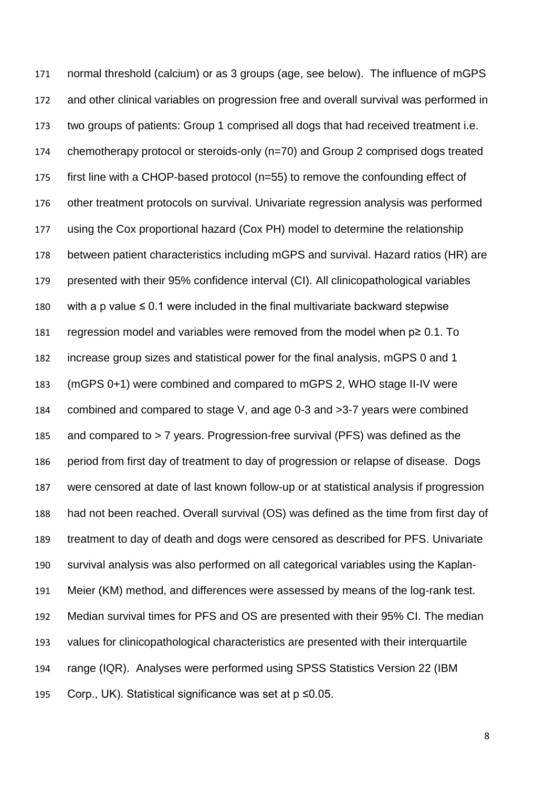normal threshold (calcium) or as 3 groups (age, see below). The influence of mGPS and other clinical variables on progression free and overall survival was performed in two groups of patients: Group 1 comprised all dogs that had received treatment i.e. chemotherapy protocol or steroids-only (n=70) and Group 2 comprised dogs treated first line with a CHOP-based protocol (n=55) to remove the confounding effect of other treatment protocols on survival. Univariate regression analysis was performed using the Cox proportional hazard (Cox PH) model to determine the relationship between patient characteristics including mGPS and survival. Hazard ratios (HR) are presented with their 95% confidence interval (CI). All clinicopathological variables with a p value ≤ 0.1 were included in the final multivariate backward stepwise regression model and variables were removed from the model when p≥ 0.1. To increase group sizes and statistical power for the final analysis, mGPS 0 and 1 (mGPS 0+1) were combined and compared to mGPS 2, WHO stage II-IV were combined and compared to stage V, and age 0-3 and >3-7 years were combined and compared to > 7 years. Progression-free survival (PFS) was defined as the period from first day of treatment to day of progression or relapse of disease. Dogs were censored at date of last known follow-up or at statistical analysis if progression had not been reached. Overall survival (OS) was defined as the time from first day of treatment to day of death and dogs were censored as described for PFS. Univariate survival analysis was also performed on all categorical variables using the Kaplan- Meier (KM) method, and differences were assessed by means of the log-rank test. Median survival times for PFS and OS are presented with their 95% CI. The median values for clinicopathological characteristics are presented with their interquartile range (IQR). Analyses were performed using SPSS Statistics Version 22 (IBM Corp., UK). Statistical significance was set at p ≤0.05.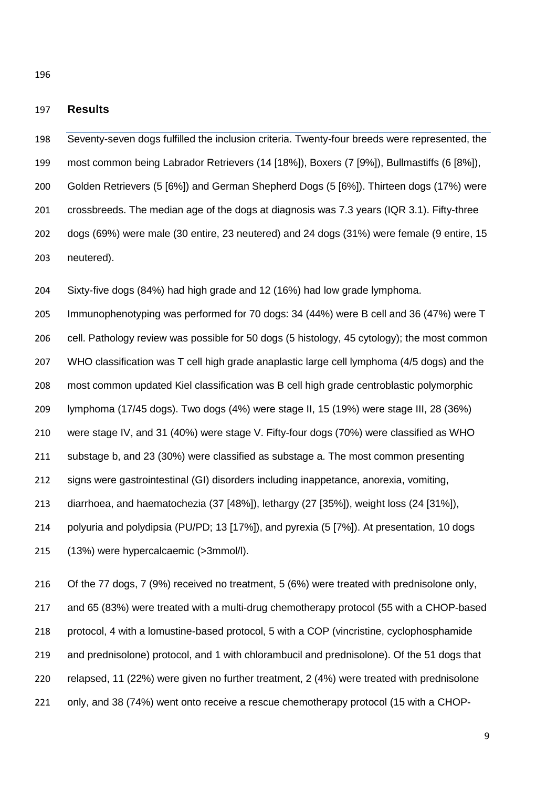## **Results**

 Seventy-seven dogs fulfilled the inclusion criteria. Twenty-four breeds were represented, the most common being Labrador Retrievers (14 [18%]), Boxers (7 [9%]), Bullmastiffs (6 [8%]), Golden Retrievers (5 [6%]) and German Shepherd Dogs (5 [6%]). Thirteen dogs (17%) were crossbreeds. The median age of the dogs at diagnosis was 7.3 years (IQR 3.1). Fifty-three dogs (69%) were male (30 entire, 23 neutered) and 24 dogs (31%) were female (9 entire, 15 neutered).

Sixty-five dogs (84%) had high grade and 12 (16%) had low grade lymphoma.

 Immunophenotyping was performed for 70 dogs: 34 (44%) were B cell and 36 (47%) were T cell. Pathology review was possible for 50 dogs (5 histology, 45 cytology); the most common WHO classification was T cell high grade anaplastic large cell lymphoma (4/5 dogs) and the most common updated Kiel classification was B cell high grade centroblastic polymorphic lymphoma (17/45 dogs). Two dogs (4%) were stage II, 15 (19%) were stage III, 28 (36%) were stage IV, and 31 (40%) were stage V. Fifty-four dogs (70%) were classified as WHO substage b, and 23 (30%) were classified as substage a. The most common presenting signs were gastrointestinal (GI) disorders including inappetance, anorexia, vomiting, diarrhoea, and haematochezia (37 [48%]), lethargy (27 [35%]), weight loss (24 [31%]), polyuria and polydipsia (PU/PD; 13 [17%]), and pyrexia (5 [7%]). At presentation, 10 dogs (13%) were hypercalcaemic (>3mmol/l).

 Of the 77 dogs, 7 (9%) received no treatment, 5 (6%) were treated with prednisolone only, and 65 (83%) were treated with a multi-drug chemotherapy protocol (55 with a CHOP-based protocol, 4 with a lomustine-based protocol, 5 with a COP (vincristine, cyclophosphamide and prednisolone) protocol, and 1 with chlorambucil and prednisolone). Of the 51 dogs that relapsed, 11 (22%) were given no further treatment, 2 (4%) were treated with prednisolone only, and 38 (74%) went onto receive a rescue chemotherapy protocol (15 with a CHOP-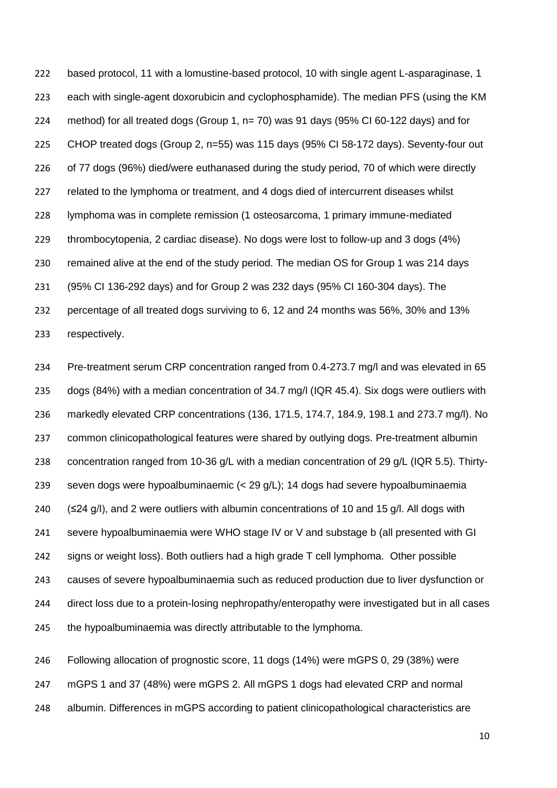based protocol, 11 with a lomustine-based protocol, 10 with single agent L-asparaginase, 1 each with single-agent doxorubicin and cyclophosphamide). The median PFS (using the KM method) for all treated dogs (Group 1, n= 70) was 91 days (95% CI 60-122 days) and for CHOP treated dogs (Group 2, n=55) was 115 days (95% CI 58-172 days). Seventy-four out of 77 dogs (96%) died/were euthanased during the study period, 70 of which were directly related to the lymphoma or treatment, and 4 dogs died of intercurrent diseases whilst lymphoma was in complete remission (1 osteosarcoma, 1 primary immune-mediated thrombocytopenia, 2 cardiac disease). No dogs were lost to follow-up and 3 dogs (4%) remained alive at the end of the study period. The median OS for Group 1 was 214 days (95% CI 136-292 days) and for Group 2 was 232 days (95% CI 160-304 days). The percentage of all treated dogs surviving to 6, 12 and 24 months was 56%, 30% and 13% respectively.

 Pre-treatment serum CRP concentration ranged from 0.4-273.7 mg/l and was elevated in 65 dogs (84%) with a median concentration of 34.7 mg/l (IQR 45.4). Six dogs were outliers with markedly elevated CRP concentrations (136, 171.5, 174.7, 184.9, 198.1 and 273.7 mg/l). No common clinicopathological features were shared by outlying dogs. Pre-treatment albumin concentration ranged from 10-36 g/L with a median concentration of 29 g/L (IQR 5.5). Thirty- seven dogs were hypoalbuminaemic (< 29 g/L); 14 dogs had severe hypoalbuminaemia (≤24 g/l), and 2 were outliers with albumin concentrations of 10 and 15 g/l. All dogs with severe hypoalbuminaemia were WHO stage IV or V and substage b (all presented with GI signs or weight loss). Both outliers had a high grade T cell lymphoma. Other possible causes of severe hypoalbuminaemia such as reduced production due to liver dysfunction or direct loss due to a protein-losing nephropathy/enteropathy were investigated but in all cases 245 the hypoalbuminaemia was directly attributable to the lymphoma.

 Following allocation of prognostic score, 11 dogs (14%) were mGPS 0, 29 (38%) were mGPS 1 and 37 (48%) were mGPS 2. All mGPS 1 dogs had elevated CRP and normal albumin. Differences in mGPS according to patient clinicopathological characteristics are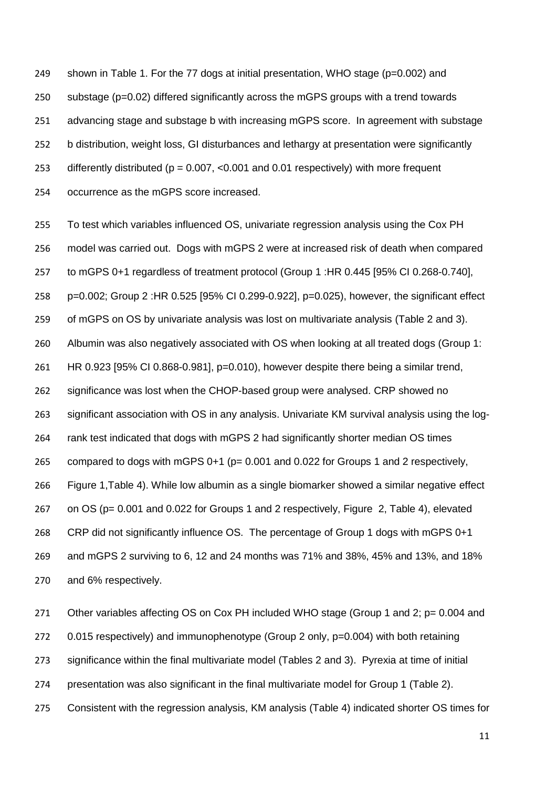249 shown in Table 1. For the 77 dogs at initial presentation, WHO stage ( $p=0.002$ ) and substage (p=0.02) differed significantly across the mGPS groups with a trend towards advancing stage and substage b with increasing mGPS score. In agreement with substage b distribution, weight loss, GI disturbances and lethargy at presentation were significantly differently distributed (p = 0.007, <0.001 and 0.01 respectively) with more frequent occurrence as the mGPS score increased.

 To test which variables influenced OS, univariate regression analysis using the Cox PH model was carried out. Dogs with mGPS 2 were at increased risk of death when compared to mGPS 0+1 regardless of treatment protocol (Group 1 :HR 0.445 [95% CI 0.268-0.740], p=0.002; Group 2 :HR 0.525 [95% CI 0.299-0.922], p=0.025), however, the significant effect of mGPS on OS by univariate analysis was lost on multivariate analysis (Table 2 and 3). Albumin was also negatively associated with OS when looking at all treated dogs (Group 1: HR 0.923 [95% CI 0.868-0.981], p=0.010), however despite there being a similar trend, significance was lost when the CHOP-based group were analysed. CRP showed no significant association with OS in any analysis. Univariate KM survival analysis using the log- rank test indicated that dogs with mGPS 2 had significantly shorter median OS times compared to dogs with mGPS 0+1 (p= 0.001 and 0.022 for Groups 1 and 2 respectively, Figure 1,Table 4). While low albumin as a single biomarker showed a similar negative effect on OS (p= 0.001 and 0.022 for Groups 1 and 2 respectively, Figure 2, Table 4), elevated CRP did not significantly influence OS. The percentage of Group 1 dogs with mGPS 0+1 and mGPS 2 surviving to 6, 12 and 24 months was 71% and 38%, 45% and 13%, and 18% and 6% respectively.

271 Other variables affecting OS on Cox PH included WHO stage (Group 1 and 2; p= 0.004 and 272 0.015 respectively) and immunophenotype (Group 2 only, p=0.004) with both retaining significance within the final multivariate model (Tables 2 and 3). Pyrexia at time of initial presentation was also significant in the final multivariate model for Group 1 (Table 2). Consistent with the regression analysis, KM analysis (Table 4) indicated shorter OS times for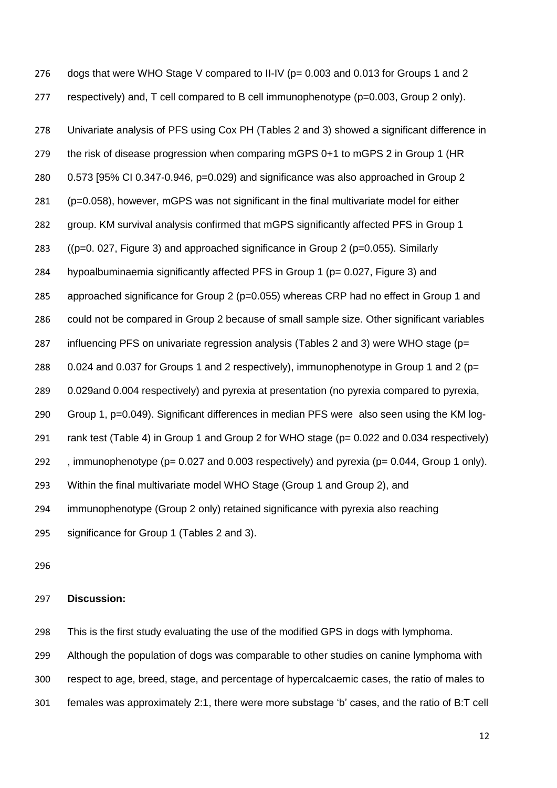276 dogs that were WHO Stage V compared to II-IV (p= 0.003 and 0.013 for Groups 1 and 2 respectively) and, T cell compared to B cell immunophenotype (p=0.003, Group 2 only). Univariate analysis of PFS using Cox PH (Tables 2 and 3) showed a significant difference in the risk of disease progression when comparing mGPS 0+1 to mGPS 2 in Group 1 (HR 0.573 [95% CI 0.347-0.946, p=0.029) and significance was also approached in Group 2 (p=0.058), however, mGPS was not significant in the final multivariate model for either

group. KM survival analysis confirmed that mGPS significantly affected PFS in Group 1

((p=0. 027, Figure 3) and approached significance in Group 2 (p=0.055). Similarly

hypoalbuminaemia significantly affected PFS in Group 1 (p= 0.027, Figure 3) and

approached significance for Group 2 (p=0.055) whereas CRP had no effect in Group 1 and

could not be compared in Group 2 because of small sample size. Other significant variables

influencing PFS on univariate regression analysis (Tables 2 and 3) were WHO stage (p=

288 0.024 and 0.037 for Groups 1 and 2 respectively), immunophenotype in Group 1 and 2 ( $p=$ 

0.029and 0.004 respectively) and pyrexia at presentation (no pyrexia compared to pyrexia,

Group 1, p=0.049). Significant differences in median PFS were also seen using the KM log-

rank test (Table 4) in Group 1 and Group 2 for WHO stage (p= 0.022 and 0.034 respectively)

, immunophenotype (p= 0.027 and 0.003 respectively) and pyrexia (p= 0.044, Group 1 only).

Within the final multivariate model WHO Stage (Group 1 and Group 2), and

immunophenotype (Group 2 only) retained significance with pyrexia also reaching

significance for Group 1 (Tables 2 and 3).

## **Discussion:**

This is the first study evaluating the use of the modified GPS in dogs with lymphoma.

Although the population of dogs was comparable to other studies on canine lymphoma with

respect to age, breed, stage, and percentage of hypercalcaemic cases, the ratio of males to

females was approximately 2:1, there were more substage 'b' cases, and the ratio of B:T cell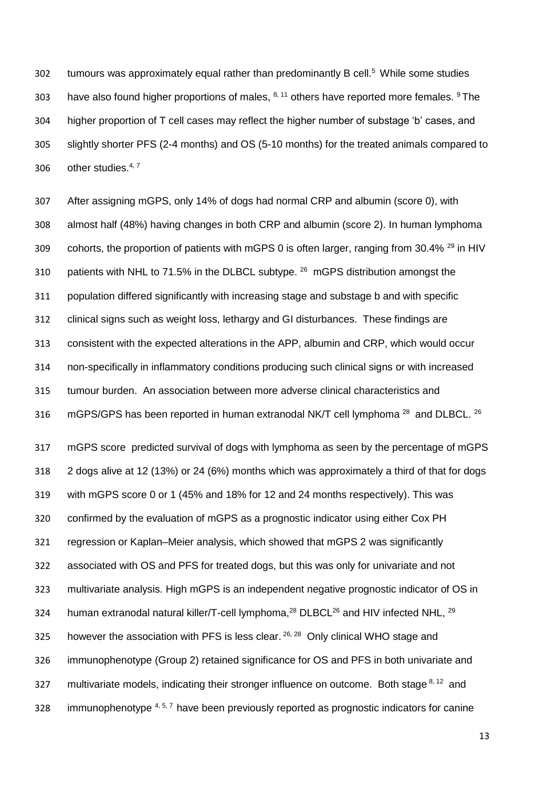302 tumours was approximately equal rather than predominantly B cell.<sup>[5](#page-16-10)</sup> While some studies 303 have also found higher proportions of males,  $^{8, 11}$  $^{8, 11}$  $^{8, 11}$  $^{8, 11}$  others have reported more females.  $^{9}$  $^{9}$  $^{9}$  The higher proportion of T cell cases may reflect the higher number of substage 'b' cases, and slightly shorter PFS (2-4 months) and OS (5-10 months) for the treated animals compared to 306 other studies. $4, 7$  $4, 7$ 

 After assigning mGPS, only 14% of dogs had normal CRP and albumin (score 0), with almost half (48%) having changes in both CRP and albumin (score 2). In human lymphoma 309 cohorts, the proportion of patients with mGPS 0 is often larger, ranging from 30.4%  $^{29}$  $^{29}$  $^{29}$  in HIV 310 patients with NHL to 71.5% in the DLBCL subtype. mGPS distribution amongst the population differed significantly with increasing stage and substage b and with specific clinical signs such as weight loss, lethargy and GI disturbances. These findings are consistent with the expected alterations in the APP, albumin and CRP, which would occur non-specifically in inflammatory conditions producing such clinical signs or with increased tumour burden. An association between more adverse clinical characteristics and 316 mGPS/GPS has been reported in human extranodal NK/T cell lymphoma  $^{28}$  and DLBCL.  $^{26}$  $^{26}$  $^{26}$ 

 mGPS score predicted survival of dogs with lymphoma as seen by the percentage of mGPS 2 dogs alive at 12 (13%) or 24 (6%) months which was approximately a third of that for dogs with mGPS score 0 or 1 (45% and 18% for 12 and 24 months respectively). This was confirmed by the evaluation of mGPS as a prognostic indicator using either Cox PH regression or Kaplan–Meier analysis, which showed that mGPS 2 was significantly associated with OS and PFS for treated dogs, but this was only for univariate and not multivariate analysis. High mGPS is an independent negative prognostic indicator of OS in 324 human extranodal natural killer/T-cell lymphoma,<sup>[28](#page-17-12)</sup> DLBCL<sup>[26](#page-17-8)</sup> and HIV infected NHL, <sup>[29](#page-17-11)</sup> 325 however the association with PFS is less clear.  $26, 28$  $26, 28$  Only clinical WHO stage and immunophenotype (Group 2) retained significance for OS and PFS in both univariate and 327 multivariate models, indicating their stronger influence on outcome. Both stage  $8,12$  $8,12$  and 328 immunophenotype  $4, 5, 7$  $4, 5, 7$  $4, 5, 7$  have been previously reported as prognostic indicators for canine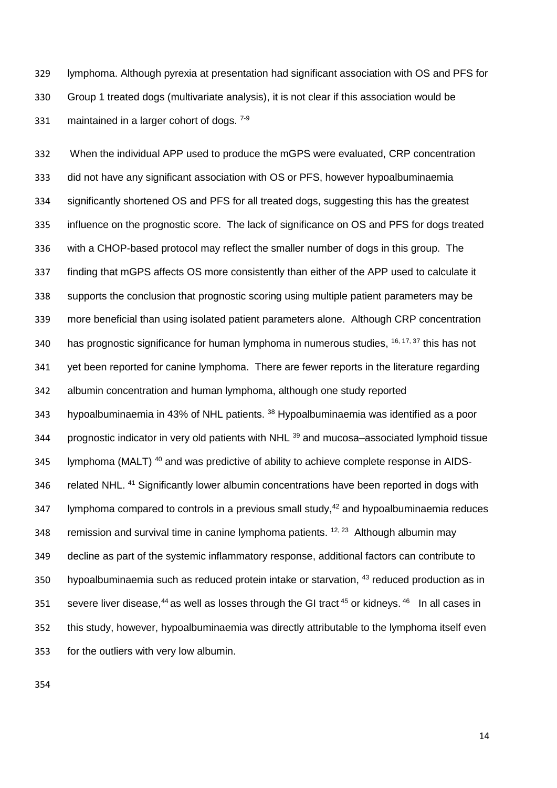lymphoma. Although pyrexia at presentation had significant association with OS and PFS for Group 1 treated dogs (multivariate analysis), it is not clear if this association would be 331 maintained in a larger cohort of dogs.  $7-9$ 

 When the individual APP used to produce the mGPS were evaluated, CRP concentration did not have any significant association with OS or PFS, however hypoalbuminaemia significantly shortened OS and PFS for all treated dogs, suggesting this has the greatest influence on the prognostic score. The lack of significance on OS and PFS for dogs treated with a CHOP-based protocol may reflect the smaller number of dogs in this group. The finding that mGPS affects OS more consistently than either of the APP used to calculate it supports the conclusion that prognostic scoring using multiple patient parameters may be more beneficial than using isolated patient parameters alone. Although CRP concentration 340 has prognostic significance for human lymphoma in numerous studies, <sup>[16,](#page-17-0) [17,](#page-17-1) [37](#page-18-3)</sup> this has not yet been reported for canine lymphoma. There are fewer reports in the literature regarding albumin concentration and human lymphoma, although one study reported 343 hypoalbuminaemia in 43% of NHL patients.<sup>[38](#page-18-4)</sup> Hypoalbuminaemia was identified as a poor 344 brognostic indicator in very old patients with NHL <sup>[39](#page-18-5)</sup> and mucosa–associated lymphoid tissue 345 lymphoma (MALT)<sup>[40](#page-18-6)</sup> and was predictive of ability to achieve complete response in AIDS-346 related NHL.<sup>[41](#page-18-7)</sup> Significantly lower albumin concentrations have been reported in dogs with 347 Vmphoma compared to controls in a previous small study,<sup>[42](#page-18-8)</sup> and hypoalbuminaemia reduces 348 remission and survival time in canine lymphoma patients.  $12, 23$  $12, 23$  Although albumin may decline as part of the systemic inflammatory response, additional factors can contribute to 350 hypoalbuminaemia such as reduced protein intake or starvation, <sup>[43](#page-18-9)</sup> reduced production as in 351 severe liver disease, as well as losses through the GI tract  $45$  or kidneys.  $46$  In all cases in this study, however, hypoalbuminaemia was directly attributable to the lymphoma itself even for the outliers with very low albumin.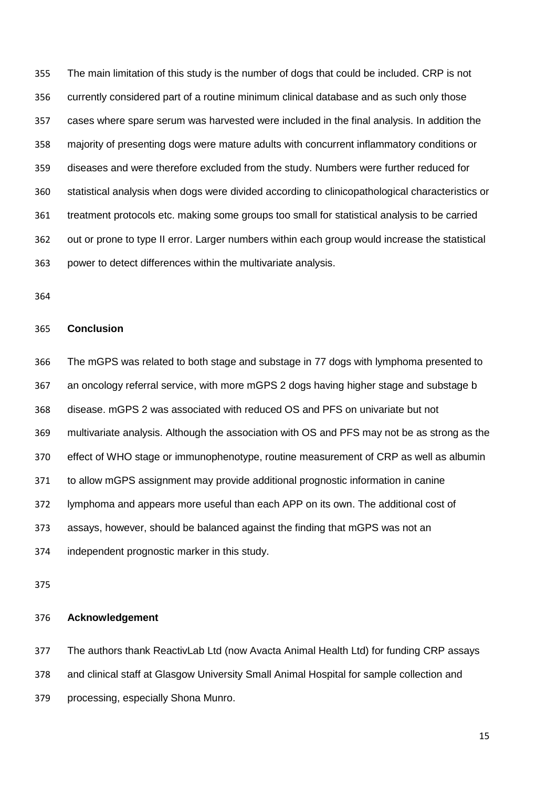The main limitation of this study is the number of dogs that could be included. CRP is not currently considered part of a routine minimum clinical database and as such only those cases where spare serum was harvested were included in the final analysis. In addition the majority of presenting dogs were mature adults with concurrent inflammatory conditions or diseases and were therefore excluded from the study. Numbers were further reduced for statistical analysis when dogs were divided according to clinicopathological characteristics or treatment protocols etc. making some groups too small for statistical analysis to be carried out or prone to type II error. Larger numbers within each group would increase the statistical power to detect differences within the multivariate analysis.

#### **Conclusion**

 The mGPS was related to both stage and substage in 77 dogs with lymphoma presented to an oncology referral service, with more mGPS 2 dogs having higher stage and substage b disease. mGPS 2 was associated with reduced OS and PFS on univariate but not multivariate analysis. Although the association with OS and PFS may not be as strong as the effect of WHO stage or immunophenotype, routine measurement of CRP as well as albumin to allow mGPS assignment may provide additional prognostic information in canine lymphoma and appears more useful than each APP on its own. The additional cost of assays, however, should be balanced against the finding that mGPS was not an independent prognostic marker in this study.

#### **Acknowledgement**

 The authors thank ReactivLab Ltd (now Avacta Animal Health Ltd) for funding CRP assays and clinical staff at Glasgow University Small Animal Hospital for sample collection and processing, especially Shona Munro.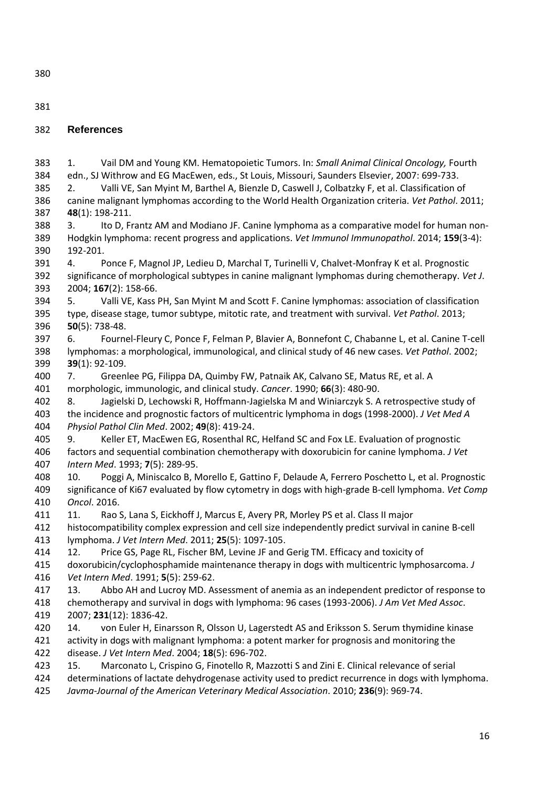<span id="page-16-12"></span><span id="page-16-11"></span><span id="page-16-10"></span><span id="page-16-9"></span><span id="page-16-8"></span><span id="page-16-7"></span><span id="page-16-6"></span><span id="page-16-5"></span><span id="page-16-4"></span><span id="page-16-3"></span><span id="page-16-2"></span><span id="page-16-1"></span><span id="page-16-0"></span>

| 380        |                                                                                                                                                                                                             |
|------------|-------------------------------------------------------------------------------------------------------------------------------------------------------------------------------------------------------------|
| 381        |                                                                                                                                                                                                             |
| 382        | <b>References</b>                                                                                                                                                                                           |
| 383        | Vail DM and Young KM. Hematopoietic Tumors. In: Small Animal Clinical Oncology, Fourth<br>1.                                                                                                                |
| 384        | edn., SJ Withrow and EG MacEwen, eds., St Louis, Missouri, Saunders Elsevier, 2007: 699-733.                                                                                                                |
| 385        | Valli VE, San Myint M, Barthel A, Bienzle D, Caswell J, Colbatzky F, et al. Classification of<br>2.                                                                                                         |
| 386        | canine malignant lymphomas according to the World Health Organization criteria. Vet Pathol. 2011;                                                                                                           |
| 387        | 48(1): 198-211.                                                                                                                                                                                             |
| 388        | Ito D, Frantz AM and Modiano JF. Canine lymphoma as a comparative model for human non-<br>3.                                                                                                                |
| 389        | Hodgkin lymphoma: recent progress and applications. Vet Immunol Immunopathol. 2014; 159(3-4):                                                                                                               |
| 390        | 192-201.                                                                                                                                                                                                    |
| 391        | Ponce F, Magnol JP, Ledieu D, Marchal T, Turinelli V, Chalvet-Monfray K et al. Prognostic<br>4.                                                                                                             |
| 392<br>393 | significance of morphological subtypes in canine malignant lymphomas during chemotherapy. Vet J.<br>2004; 167(2): 158-66.                                                                                   |
| 394        | Valli VE, Kass PH, San Myint M and Scott F. Canine lymphomas: association of classification<br>5.                                                                                                           |
| 395        | type, disease stage, tumor subtype, mitotic rate, and treatment with survival. Vet Pathol. 2013;                                                                                                            |
| 396        | $50(5)$ : 738-48.                                                                                                                                                                                           |
| 397        | Fournel-Fleury C, Ponce F, Felman P, Blavier A, Bonnefont C, Chabanne L, et al. Canine T-cell<br>6.                                                                                                         |
| 398        | lymphomas: a morphological, immunological, and clinical study of 46 new cases. Vet Pathol. 2002;                                                                                                            |
| 399        | $39(1): 92-109.$                                                                                                                                                                                            |
| 400        | Greenlee PG, Filippa DA, Quimby FW, Patnaik AK, Calvano SE, Matus RE, et al. A<br>7.                                                                                                                        |
| 401        | morphologic, immunologic, and clinical study. Cancer. 1990; 66(3): 480-90.                                                                                                                                  |
| 402        | Jagielski D, Lechowski R, Hoffmann-Jagielska M and Winiarczyk S. A retrospective study of<br>8.                                                                                                             |
| 403        | the incidence and prognostic factors of multicentric lymphoma in dogs (1998-2000). J Vet Med A                                                                                                              |
| 404        | Physiol Pathol Clin Med. 2002; 49(8): 419-24.                                                                                                                                                               |
| 405        | Keller ET, MacEwen EG, Rosenthal RC, Helfand SC and Fox LE. Evaluation of prognostic<br>9.                                                                                                                  |
| 406        | factors and sequential combination chemotherapy with doxorubicin for canine lymphoma. J Vet                                                                                                                 |
| 407        | Intern Med. 1993; 7(5): 289-95.                                                                                                                                                                             |
| 408<br>409 | Poggi A, Miniscalco B, Morello E, Gattino F, Delaude A, Ferrero Poschetto L, et al. Prognostic<br>10.<br>significance of Ki67 evaluated by flow cytometry in dogs with high-grade B-cell lymphoma. Vet Comp |
| 410        | Oncol. 2016.                                                                                                                                                                                                |
| 411        | Rao S, Lana S, Eickhoff J, Marcus E, Avery PR, Morley PS et al. Class II major<br>11.                                                                                                                       |
| 412        | histocompatibility complex expression and cell size independently predict survival in canine B-cell                                                                                                         |
| 413        | lymphoma. J Vet Intern Med. 2011; 25(5): 1097-105.                                                                                                                                                          |
| 414        | Price GS, Page RL, Fischer BM, Levine JF and Gerig TM. Efficacy and toxicity of<br>12.                                                                                                                      |
| 415        | doxorubicin/cyclophosphamide maintenance therapy in dogs with multicentric lymphosarcoma. J                                                                                                                 |
| 416        | Vet Intern Med. 1991; 5(5): 259-62.                                                                                                                                                                         |
| 417        | Abbo AH and Lucroy MD. Assessment of anemia as an independent predictor of response to<br>13.                                                                                                               |
| 418        | chemotherapy and survival in dogs with lymphoma: 96 cases (1993-2006). J Am Vet Med Assoc.                                                                                                                  |
| 419        | 2007; 231(12): 1836-42.                                                                                                                                                                                     |
| 420        | von Euler H, Einarsson R, Olsson U, Lagerstedt AS and Eriksson S. Serum thymidine kinase<br>14.                                                                                                             |
| 421        | activity in dogs with malignant lymphoma: a potent marker for prognosis and monitoring the                                                                                                                  |
| 422        | disease. J Vet Intern Med. 2004; 18(5): 696-702.                                                                                                                                                            |
| 423        | Marconato L, Crispino G, Finotello R, Mazzotti S and Zini E. Clinical relevance of serial<br>15.                                                                                                            |
| 424        | determinations of lactate dehydrogenase activity used to predict recurrence in dogs with lymphoma.                                                                                                          |
| 425        | Javma-Journal of the American Veterinary Medical Association. 2010; 236(9): 969-74.                                                                                                                         |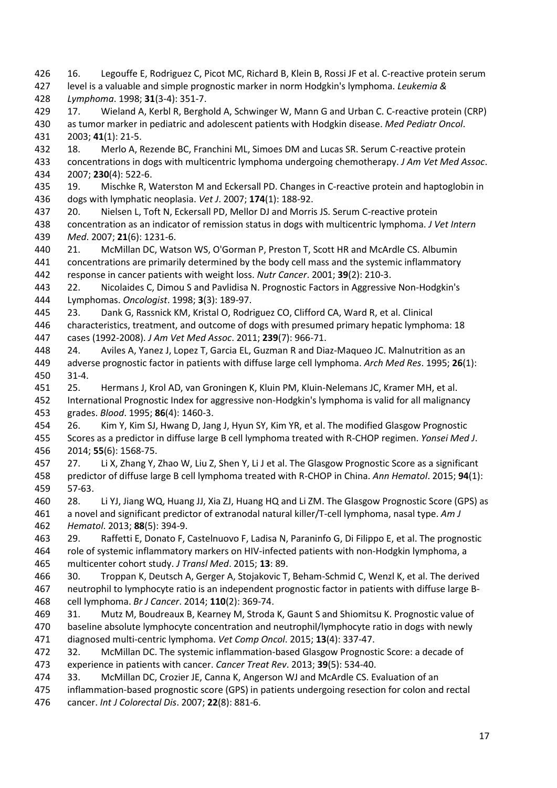<span id="page-17-12"></span><span id="page-17-11"></span><span id="page-17-10"></span><span id="page-17-9"></span><span id="page-17-8"></span><span id="page-17-7"></span><span id="page-17-6"></span><span id="page-17-5"></span><span id="page-17-4"></span><span id="page-17-3"></span><span id="page-17-2"></span><span id="page-17-1"></span> level is a valuable and simple prognostic marker in norm Hodgkin's lymphoma. *Leukemia & Lymphoma*. 1998; **31**(3-4): 351-7. 17. Wieland A, Kerbl R, Berghold A, Schwinger W, Mann G and Urban C. C-reactive protein (CRP) as tumor marker in pediatric and adolescent patients with Hodgkin disease. *Med Pediatr Oncol*. 2003; **41**(1): 21-5. 18. Merlo A, Rezende BC, Franchini ML, Simoes DM and Lucas SR. Serum C-reactive protein concentrations in dogs with multicentric lymphoma undergoing chemotherapy. *J Am Vet Med Assoc*. 2007; **230**(4): 522-6. 19. Mischke R, Waterston M and Eckersall PD. Changes in C-reactive protein and haptoglobin in dogs with lymphatic neoplasia. *Vet J*. 2007; **174**(1): 188-92. 20. Nielsen L, Toft N, Eckersall PD, Mellor DJ and Morris JS. Serum C-reactive protein concentration as an indicator of remission status in dogs with multicentric lymphoma. *J Vet Intern Med*. 2007; **21**(6): 1231-6. 21. McMillan DC, Watson WS, O'Gorman P, Preston T, Scott HR and McArdle CS. Albumin concentrations are primarily determined by the body cell mass and the systemic inflammatory response in cancer patients with weight loss. *Nutr Cancer*. 2001; **39**(2): 210-3. 22. Nicolaides C, Dimou S and Pavlidisa N. Prognostic Factors in Aggressive Non-Hodgkin's Lymphomas. *Oncologist*. 1998; **3**(3): 189-97. 23. Dank G, Rassnick KM, Kristal O, Rodriguez CO, Clifford CA, Ward R, et al. Clinical characteristics, treatment, and outcome of dogs with presumed primary hepatic lymphoma: 18 cases (1992-2008). *J Am Vet Med Assoc*. 2011; **239**(7): 966-71. 24. Aviles A, Yanez J, Lopez T, Garcia EL, Guzman R and Diaz-Maqueo JC. Malnutrition as an adverse prognostic factor in patients with diffuse large cell lymphoma. *Arch Med Res*. 1995; **26**(1): 31-4. 25. Hermans J, Krol AD, van Groningen K, Kluin PM, Kluin-Nelemans JC, Kramer MH, et al. International Prognostic Index for aggressive non-Hodgkin's lymphoma is valid for all malignancy grades. *Blood*. 1995; **86**(4): 1460-3. 26. Kim Y, Kim SJ, Hwang D, Jang J, Hyun SY, Kim YR, et al. The modified Glasgow Prognostic Scores as a predictor in diffuse large B cell lymphoma treated with R-CHOP regimen. *Yonsei Med J*. 2014; **55**(6): 1568-75. 27. Li X, Zhang Y, Zhao W, Liu Z, Shen Y, Li J et al. The Glasgow Prognostic Score as a significant predictor of diffuse large B cell lymphoma treated with R-CHOP in China. *Ann Hematol*. 2015; **94**(1): 57-63. 28. Li YJ, Jiang WQ, Huang JJ, Xia ZJ, Huang HQ and Li ZM. The Glasgow Prognostic Score (GPS) as a novel and significant predictor of extranodal natural killer/T-cell lymphoma, nasal type. *Am J Hematol*. 2013; **88**(5): 394-9. 29. Raffetti E, Donato F, Castelnuovo F, Ladisa N, Paraninfo G, Di Filippo E, et al. The prognostic role of systemic inflammatory markers on HIV-infected patients with non-Hodgkin lymphoma, a multicenter cohort study. *J Transl Med*. 2015; **13**: 89. 30. Troppan K, Deutsch A, Gerger A, Stojakovic T, Beham-Schmid C, Wenzl K, et al. The derived neutrophil to lymphocyte ratio is an independent prognostic factor in patients with diffuse large B- cell lymphoma. *Br J Cancer*. 2014; **110**(2): 369-74. 31. Mutz M, Boudreaux B, Kearney M, Stroda K, Gaunt S and Shiomitsu K. Prognostic value of baseline absolute lymphocyte concentration and neutrophil/lymphocyte ratio in dogs with newly diagnosed multi-centric lymphoma. *Vet Comp Oncol*. 2015; **13**(4): 337-47. 32. McMillan DC. The systemic inflammation-based Glasgow Prognostic Score: a decade of experience in patients with cancer. *Cancer Treat Rev*. 2013; **39**(5): 534-40. 33. McMillan DC, Crozier JE, Canna K, Angerson WJ and McArdle CS. Evaluation of an inflammation-based prognostic score (GPS) in patients undergoing resection for colon and rectal cancer. *Int J Colorectal Dis*. 2007; **22**(8): 881-6.

<span id="page-17-0"></span>16. Legouffe E, Rodriguez C, Picot MC, Richard B, Klein B, Rossi JF et al. C-reactive protein serum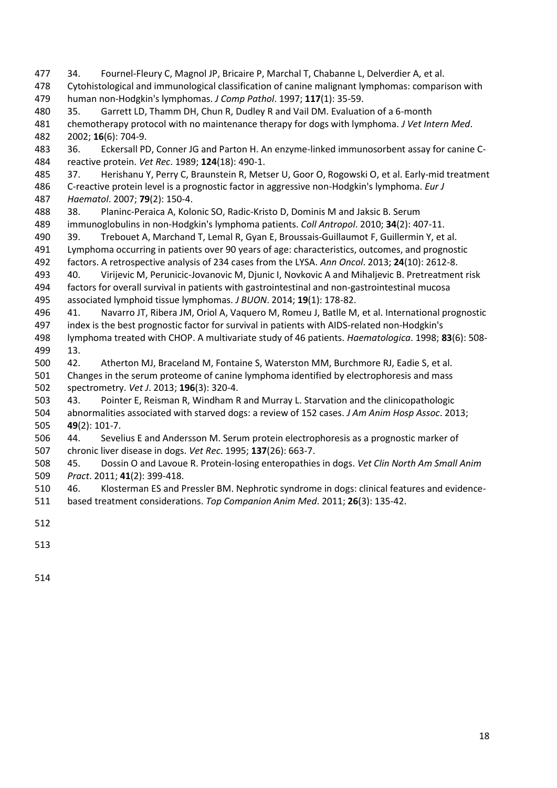<span id="page-18-6"></span><span id="page-18-5"></span><span id="page-18-4"></span><span id="page-18-3"></span><span id="page-18-2"></span><span id="page-18-1"></span><span id="page-18-0"></span> 34. Fournel-Fleury C, Magnol JP, Bricaire P, Marchal T, Chabanne L, Delverdier A, et al. Cytohistological and immunological classification of canine malignant lymphomas: comparison with human non-Hodgkin's lymphomas. *J Comp Pathol*. 1997; **117**(1): 35-59. 35. Garrett LD, Thamm DH, Chun R, Dudley R and Vail DM. Evaluation of a 6-month chemotherapy protocol with no maintenance therapy for dogs with lymphoma. *J Vet Intern Med*. 2002; **16**(6): 704-9. 36. Eckersall PD, Conner JG and Parton H. An enzyme-linked immunosorbent assay for canine C- reactive protein. *Vet Rec*. 1989; **124**(18): 490-1. 37. Herishanu Y, Perry C, Braunstein R, Metser U, Goor O, Rogowski O, et al. Early-mid treatment C-reactive protein level is a prognostic factor in aggressive non-Hodgkin's lymphoma. *Eur J Haematol*. 2007; **79**(2): 150-4. 38. Planinc-Peraica A, Kolonic SO, Radic-Kristo D, Dominis M and Jaksic B. Serum immunoglobulins in non-Hodgkin's lymphoma patients. *Coll Antropol*. 2010; **34**(2): 407-11. 39. Trebouet A, Marchand T, Lemal R, Gyan E, Broussais-Guillaumot F, Guillermin Y, et al. Lymphoma occurring in patients over 90 years of age: characteristics, outcomes, and prognostic factors. A retrospective analysis of 234 cases from the LYSA. *Ann Oncol*. 2013; **24**(10): 2612-8. 40. Virijevic M, Perunicic-Jovanovic M, Djunic I, Novkovic A and Mihaljevic B. Pretreatment risk factors for overall survival in patients with gastrointestinal and non-gastrointestinal mucosa associated lymphoid tissue lymphomas. *J BUON*. 2014; **19**(1): 178-82. 41. Navarro JT, Ribera JM, Oriol A, Vaquero M, Romeu J, Batlle M, et al. International prognostic index is the best prognostic factor for survival in patients with AIDS-related non-Hodgkin's lymphoma treated with CHOP. A multivariate study of 46 patients. *Haematologica*. 1998; **83**(6): 508- 13. 42. Atherton MJ, Braceland M, Fontaine S, Waterston MM, Burchmore RJ, Eadie S, et al. Changes in the serum proteome of canine lymphoma identified by electrophoresis and mass spectrometry. *Vet J*. 2013; **196**(3): 320-4. 43. Pointer E, Reisman R, Windham R and Murray L. Starvation and the clinicopathologic abnormalities associated with starved dogs: a review of 152 cases. *J Am Anim Hosp Assoc*. 2013; **49**(2): 101-7. 44. Sevelius E and Andersson M. Serum protein electrophoresis as a prognostic marker of chronic liver disease in dogs. *Vet Rec*. 1995; **137**(26): 663-7. 45. Dossin O and Lavoue R. Protein-losing enteropathies in dogs. *Vet Clin North Am Small Anim Pract*. 2011; **41**(2): 399-418. 46. Klosterman ES and Pressler BM. Nephrotic syndrome in dogs: clinical features and evidence-based treatment considerations. *Top Companion Anim Med*. 2011; **26**(3): 135-42.

- <span id="page-18-12"></span><span id="page-18-11"></span><span id="page-18-10"></span><span id="page-18-9"></span><span id="page-18-8"></span><span id="page-18-7"></span>
-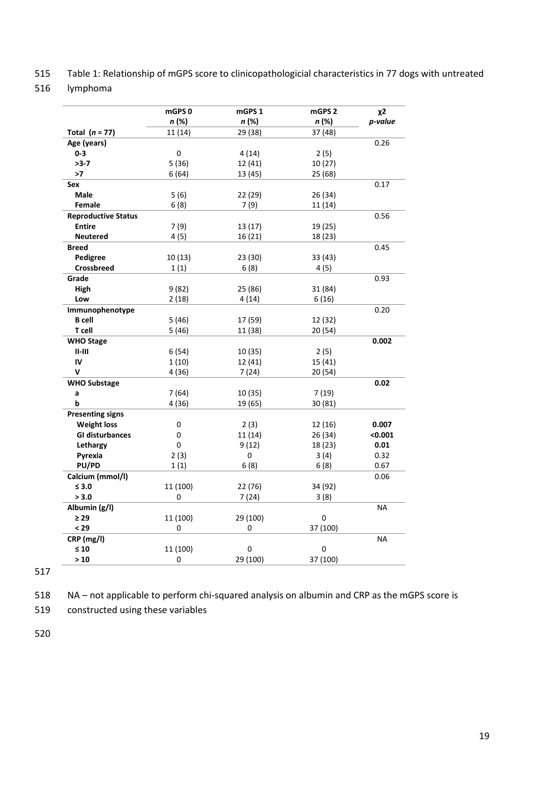- 515 Table 1: Relationship of mGPS score to clinicopathologicial characteristics in 77 dogs with untreated
- 516 lymphoma

|                            | mGPS0        | mGPS 1   | mGPS <sub>2</sub> | $x^2$     |
|----------------------------|--------------|----------|-------------------|-----------|
|                            | n (%)        | n (%)    | n (%)             | p-value   |
| Total $(n = 77)$           | 11(14)       | 29 (38)  | 37 (48)           |           |
| Age (years)                |              |          |                   | 0.26      |
| $0 - 3$                    | 0            | 4(14)    | 2(5)              |           |
| $>3-7$                     | 5(36)        | 12 (41)  | 10(27)            |           |
| >7                         | 6(64)        | 13 (45)  | 25 (68)           |           |
| Sex                        |              |          |                   | 0.17      |
| Male                       | 5 (6)        | 22 (29)  | 26 (34)           |           |
| Female                     | 6(8)         | 7(9)     | 11 (14)           |           |
| <b>Reproductive Status</b> |              |          |                   | 0.56      |
| <b>Entire</b>              | 7 (9)        | 13 (17)  | 19 (25)           |           |
| <b>Neutered</b>            | 4(5)         | 16(21)   | 18 (23)           |           |
| <b>Breed</b>               |              |          |                   | 0.45      |
| Pedigree                   | 10(13)       | 23 (30)  | 33 (43)           |           |
| Crossbreed                 | 1(1)         | 6(8)     | 4(5)              |           |
| Grade                      |              |          |                   | 0.93      |
| High                       | 9(82)        | 25 (86)  | 31 (84)           |           |
| Low                        | 2(18)        | 4(14)    | 6(16)             |           |
| Immunophenotype            |              |          |                   | 0.20      |
| <b>B</b> cell              | 5(46)        | 17 (59)  | 12 (32)           |           |
| T cell                     | 5(46)        | 11 (38)  | 20 (54)           |           |
| <b>WHO Stage</b>           |              |          |                   | 0.002     |
| $II-III$                   | 6(54)        | 10 (35)  | 2(5)              |           |
| IV                         | 1(10)        | 12 (41)  | 15 (41)           |           |
| v                          | 4 (36)       | 7(24)    | 20(54)            |           |
| <b>WHO Substage</b>        |              |          |                   | 0.02      |
| a                          | 7 (64)       | 10 (35)  | 7 (19)            |           |
| b                          | 4(36)        | 19 (65)  | 30 (81)           |           |
| <b>Presenting signs</b>    |              |          |                   |           |
| <b>Weight loss</b>         | 0            | 2(3)     | 12 (16)           | 0.007     |
| <b>GI disturbances</b>     | 0            | 11(14)   | 26 (34)           | < 0.001   |
| Lethargy                   | $\mathbf{0}$ | 9(12)    | 18 (23)           | 0.01      |
| Pyrexia                    | 2(3)         | $\Omega$ | 3(4)              | 0.32      |
| <b>PU/PD</b>               | 1(1)         | 6(8)     | 6(8)              | 0.67      |
| Calcium (mmol/l)           |              |          |                   | 0.06      |
| $\leq 3.0$                 | 11 (100)     | 22 (76)  | 34 (92)           |           |
| > 3.0                      | 0            | 7(24)    | 3(8)              |           |
| Albumin (g/l)              |              |          |                   | <b>NA</b> |
| $\geq 29$                  | 11 (100)     | 29 (100) | 0                 |           |
| $29$                       | 0            | 0        | 37 (100)          |           |
|                            |              |          |                   |           |
| CRP (mg/l)                 |              |          |                   | <b>NA</b> |
| $\leq 10$                  | 11 (100)     | 0        | 0                 |           |
| >10                        | 0            | 29 (100) | 37 (100)          |           |

517

518 NA – not applicable to perform chi-squared analysis on albumin and CRP as the mGPS score is

519 constructed using these variables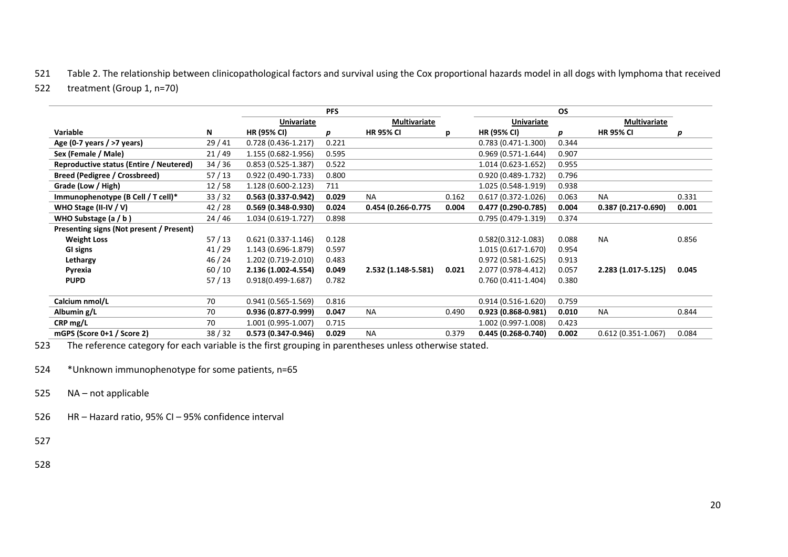## 521 Table 2. The relationship between clinicopathological factors and survival using the Cox proportional hazards model in all dogs with lymphoma that received

#### 522 treatment (Group 1, n=70)

|                                          |         |                        | <b>PFS</b> |                      |       |                        | <b>OS</b> |                        |       |
|------------------------------------------|---------|------------------------|------------|----------------------|-------|------------------------|-----------|------------------------|-------|
|                                          |         | <b>Univariate</b>      |            | <b>Multivariate</b>  |       | <b>Univariate</b>      |           | <b>Multivariate</b>    |       |
| Variable                                 | N       | <b>HR (95% CI)</b>     | p          | <b>HR 95% CI</b>     | р     | <b>HR (95% CI)</b>     | p         | <b>HR 95% CI</b>       | р     |
| Age (0-7 years / >7 years)               | 29/41   | $0.728(0.436-1.217)$   | 0.221      |                      |       | $0.783(0.471-1.300)$   | 0.344     |                        |       |
| Sex (Female / Male)                      | 21/49   | 1.155 (0.682-1.956)    | 0.595      |                      |       | $0.969(0.571-1.644)$   | 0.907     |                        |       |
| Reproductive status (Entire / Neutered)  | 34/36   | $0.853(0.525-1.387)$   | 0.522      |                      |       | 1.014 (0.623-1.652)    | 0.955     |                        |       |
| <b>Breed (Pedigree / Crossbreed)</b>     | 57/13   | $0.922(0.490-1.733)$   | 0.800      |                      |       | $0.920(0.489-1.732)$   | 0.796     |                        |       |
| Grade (Low / High)                       | 12/58   | 1.128 (0.600-2.123)    | 711        |                      |       | 1.025 (0.548-1.919)    | 0.938     |                        |       |
| Immunophenotype (B Cell / T cell)*       | 33/32   | $0.563(0.337-0.942)$   | 0.029      | <b>NA</b>            | 0.162 | $0.617(0.372 - 1.026)$ | 0.063     | <b>NA</b>              | 0.331 |
| WHO Stage (II-IV / V)                    | 42/28   | $0.569(0.348-0.930)$   | 0.024      | 0.454 (0.266-0.775   | 0.004 | 0.477 (0.290-0.785)    | 0.004     | $0.387(0.217-0.690)$   | 0.001 |
| WHO Substage $(a / b)$                   | 24 / 46 | 1.034 (0.619-1.727)    | 0.898      |                      |       | $0.795(0.479-1.319)$   | 0.374     |                        |       |
| Presenting signs (Not present / Present) |         |                        |            |                      |       |                        |           |                        |       |
| <b>Weight Loss</b>                       | 57/13   | $0.621(0.337 - 1.146)$ | 0.128      |                      |       | $0.582(0.312 - 1.083)$ | 0.088     | <b>NA</b>              | 0.856 |
| GI signs                                 | 41/29   | 1.143 (0.696-1.879)    | 0.597      |                      |       | 1.015 (0.617-1.670)    | 0.954     |                        |       |
| Lethargy                                 | 46/24   | 1.202 (0.719-2.010)    | 0.483      |                      |       | $0.972(0.581 - 1.625)$ | 0.913     |                        |       |
| Pyrexia                                  | 60/10   | 2.136 (1.002-4.554)    | 0.049      | $2.532(1.148-5.581)$ | 0.021 | 2.077 (0.978-4.412)    | 0.057     | 2.283 (1.017-5.125)    | 0.045 |
| <b>PUPD</b>                              | 57/13   | $0.918(0.499 - 1.687)$ | 0.782      |                      |       | $0.760(0.411-1.404)$   | 0.380     |                        |       |
|                                          |         |                        |            |                      |       |                        |           |                        |       |
| Calcium nmol/L                           | 70      | $0.941(0.565-1.569)$   | 0.816      |                      |       | $0.914(0.516-1.620)$   | 0.759     |                        |       |
| Albumin g/L                              | 70      | 0.936 (0.877-0.999)    | 0.047      | <b>NA</b>            | 0.490 | $0.923(0.868-0.981)$   | 0.010     | <b>NA</b>              | 0.844 |
| $CRP$ mg/L                               | 70      | 1.001 (0.995-1.007)    | 0.715      |                      |       | 1.002 (0.997-1.008)    | 0.423     |                        |       |
| mGPS (Score 0+1 / Score 2)               | 38/32   | 0.573 (0.347-0.946)    | 0.029      | <b>NA</b>            | 0.379 | 0.445 (0.268-0.740)    | 0.002     | $0.612(0.351 - 1.067)$ | 0.084 |

523 The reference category for each variable is the first grouping in parentheses unless otherwise stated.

524 \*Unknown immunophenotype for some patients, n=65

- 525 NA not applicable
- 526 HR Hazard ratio, 95% CI 95% confidence interval
- 527
- 528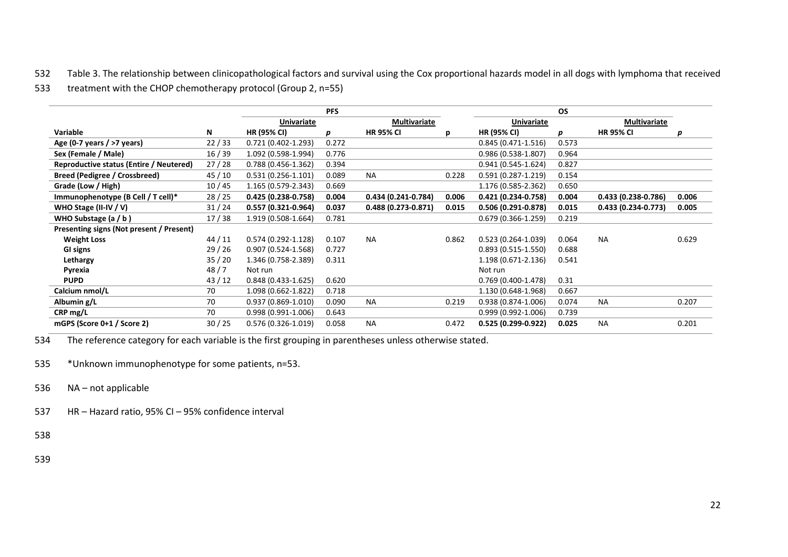532 Table 3. The relationship between clinicopathological factors and survival using the Cox proportional hazards model in all dogs with lymphoma that received

## 533 treatment with the CHOP chemotherapy protocol (Group 2, n=55)

|                                          |         |                        | <b>PFS</b> |                        |       |                        | <b>OS</b> |                      |       |
|------------------------------------------|---------|------------------------|------------|------------------------|-------|------------------------|-----------|----------------------|-------|
|                                          |         | <b>Univariate</b>      |            | <b>Multivariate</b>    |       | <b>Univariate</b>      |           | <b>Multivariate</b>  |       |
| Variable                                 | N       | <b>HR (95% CI)</b>     | p          | <b>HR 95% CI</b>       | р     | <b>HR (95% CI)</b>     | p         | <b>HR 95% CI</b>     | р     |
| Age (0-7 years / $>7$ years)             | 22/33   | $0.721(0.402 - 1.293)$ | 0.272      |                        |       | $0.845(0.471-1.516)$   | 0.573     |                      |       |
| Sex (Female / Male)                      | 16/39   | 1.092 (0.598-1.994)    | 0.776      |                        |       | $0.986(0.538-1.807)$   | 0.964     |                      |       |
| Reproductive status (Entire / Neutered)  | 27/28   | $0.788(0.456-1.362)$   | 0.394      |                        |       | $0.941(0.545-1.624)$   | 0.827     |                      |       |
| Breed (Pedigree / Crossbreed)            | 45 / 10 | $0.531(0.256 - 1.101)$ | 0.089      | <b>NA</b>              | 0.228 | $0.591(0.287 - 1.219)$ | 0.154     |                      |       |
| Grade (Low / High)                       | 10/45   | 1.165 (0.579-2.343)    | 0.669      |                        |       | 1.176 (0.585-2.362)    | 0.650     |                      |       |
| Immunophenotype (B Cell / T cell)*       | 28/25   | 0.425 (0.238-0.758)    | 0.004      | $0.434(0.241-0.784)$   | 0.006 | 0.421 (0.234-0.758)    | 0.004     | $0.433(0.238-0.786)$ | 0.006 |
| WHO Stage (II-IV / V)                    | 31/24   | $0.557(0.321-0.964)$   | 0.037      | $0.488(0.273 - 0.871)$ | 0.015 | $0.506(0.291 - 0.878)$ | 0.015     | $0.433(0.234-0.773)$ | 0.005 |
| WHO Substage (a / b)                     | 17/38   | 1.919 (0.508-1.664)    | 0.781      |                        |       | $0.679(0.366-1.259)$   | 0.219     |                      |       |
| Presenting signs (Not present / Present) |         |                        |            |                        |       |                        |           |                      |       |
| <b>Weight Loss</b>                       | 44/11   | $0.574(0.292 - 1.128)$ | 0.107      | <b>NA</b>              | 0.862 | $0.523(0.264-1.039)$   | 0.064     | <b>NA</b>            | 0.629 |
| GI signs                                 | 29/26   | $0.907(0.524 - 1.568)$ | 0.727      |                        |       | $0.893(0.515-1.550)$   | 0.688     |                      |       |
| Lethargy                                 | 35/20   | 1.346 (0.758-2.389)    | 0.311      |                        |       | 1.198 (0.671-2.136)    | 0.541     |                      |       |
| Pyrexia                                  | 48/7    | Not run                |            |                        |       | Not run                |           |                      |       |
| <b>PUPD</b>                              | 43/12   | $0.848(0.433 - 1.625)$ | 0.620      |                        |       | $0.769(0.400-1.478)$   | 0.31      |                      |       |
| Calcium nmol/L                           | 70      | 1.098 (0.662-1.822)    | 0.718      |                        |       | 1.130 (0.648-1.968)    | 0.667     |                      |       |
| Albumin g/L                              | 70      | $0.937(0.869 - 1.010)$ | 0.090      | <b>NA</b>              | 0.219 | $0.938(0.874-1.006)$   | 0.074     | <b>NA</b>            | 0.207 |
| CRP mg/L                                 | 70      | $0.998(0.991-1.006)$   | 0.643      |                        |       | $0.999(0.992 - 1.006)$ | 0.739     |                      |       |
| mGPS (Score 0+1 / Score 2)               | 30/25   | $0.576(0.326-1.019)$   | 0.058      | <b>NA</b>              | 0.472 | 0.525 (0.299-0.922)    | 0.025     | <b>NA</b>            | 0.201 |

534 The reference category for each variable is the first grouping in parentheses unless otherwise stated.

535 \*Unknown immunophenotype for some patients, n=53.

- 536 NA not applicable
- 537 HR Hazard ratio, 95% CI 95% confidence interval

538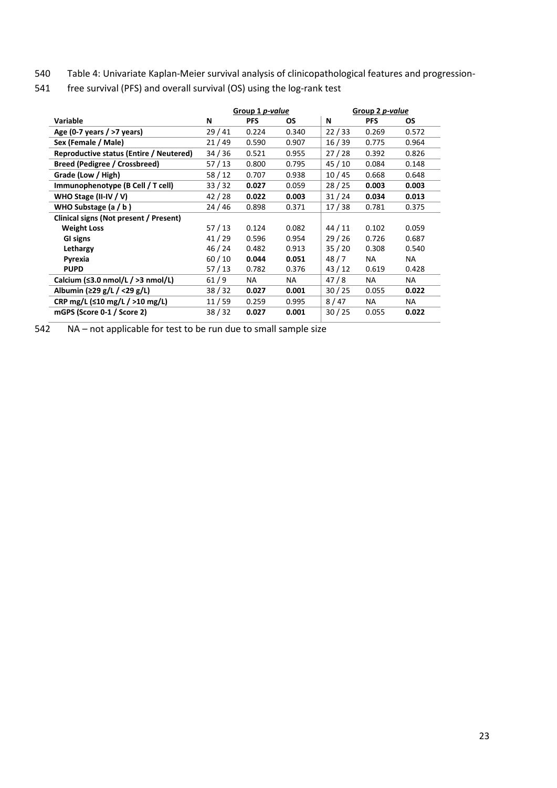540 Table 4: Univariate Kaplan-Meier survival analysis of clinicopathological features and progression-

|                                          |         | Group 1 <i>p-value</i> |           | Group 2 p-value |            |       |
|------------------------------------------|---------|------------------------|-----------|-----------------|------------|-------|
| <b>Variable</b>                          | N       | PFS                    | <b>OS</b> | N               | <b>PFS</b> | OS.   |
| Age (0-7 years / $>7$ years)             | 29/41   | 0.224                  | 0.340     | 22/33           | 0.269      | 0.572 |
| Sex (Female / Male)                      | 21/49   | 0.590                  | 0.907     | 16/39           | 0.775      | 0.964 |
| Reproductive status (Entire / Neutered)  | 34/36   | 0.521                  | 0.955     | 27/28           | 0.392      | 0.826 |
| Breed (Pedigree / Crossbreed)            | 57/13   | 0.800                  | 0.795     | 45 / 10         | 0.084      | 0.148 |
| Grade (Low / High)                       | 58/12   | 0.707                  | 0.938     | 10/45           | 0.668      | 0.648 |
| Immunophenotype (B Cell / T cell)        | 33/32   | 0.027                  | 0.059     | 28/25           | 0.003      | 0.003 |
| WHO Stage (II-IV / V)                    | 42/28   | 0.022                  | 0.003     | 31/24           | 0.034      | 0.013 |
| WHO Substage $(a / b)$                   | 24 / 46 | 0.898                  | 0.371     | 17/38           | 0.781      | 0.375 |
| Clinical signs (Not present / Present)   |         |                        |           |                 |            |       |
| <b>Weight Loss</b>                       | 57/13   | 0.124                  | 0.082     | 44 / 11         | 0.102      | 0.059 |
| GI signs                                 | 41/29   | 0.596                  | 0.954     | 29/26           | 0.726      | 0.687 |
| Lethargy                                 | 46 / 24 | 0.482                  | 0.913     | 35/20           | 0.308      | 0.540 |
| Pyrexia                                  | 60/10   | 0.044                  | 0.051     | 48/7            | NA         | NA.   |
| <b>PUPD</b>                              | 57/13   | 0.782                  | 0.376     | 43/12           | 0.619      | 0.428 |
| Calcium ( $\leq$ 3.0 nmol/L / >3 nmol/L) | 61/9    | NA                     | NA.       | 47/8            | NA         | NA    |
| Albumin (≥29 g/L / <29 g/L)              | 38/32   | 0.027                  | 0.001     | 30/25           | 0.055      | 0.022 |
| CRP mg/L ( $\leq 10$ mg/L / $>10$ mg/L)  | 11/59   | 0.259                  | 0.995     | 8/47            | NA         | NA.   |
| mGPS (Score 0-1 / Score 2)               | 38/32   | 0.027                  | 0.001     | 30/25           | 0.055      | 0.022 |

541 free survival (PFS) and overall survival (OS) using the log-rank test

542 NA – not applicable for test to be run due to small sample size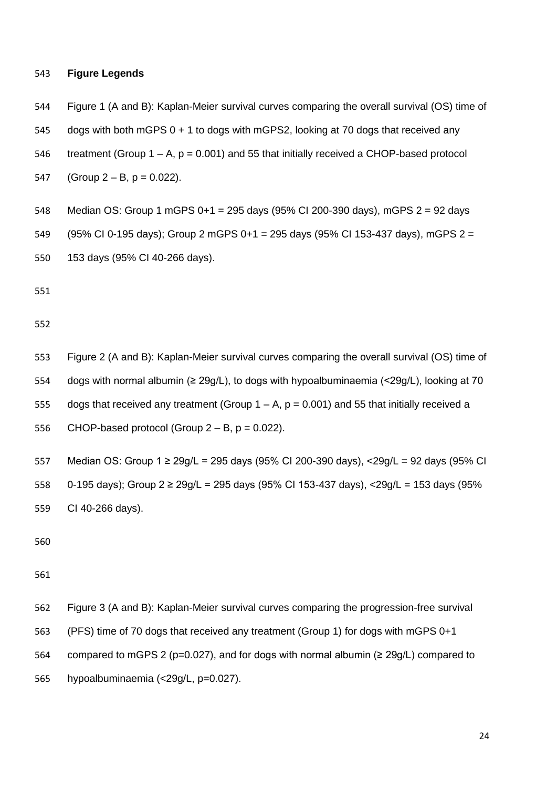#### **Figure Legends**

Figure 1 (A and B): Kaplan-Meier survival curves comparing the overall survival (OS) time of

dogs with both mGPS 0 + 1 to dogs with mGPS2, looking at 70 dogs that received any

546 treatment (Group  $1 - A$ ,  $p = 0.001$ ) and 55 that initially received a CHOP-based protocol

547 (Group  $2 - B$ ,  $p = 0.022$ ).

- Median OS: Group 1 mGPS 0+1 = 295 days (95% CI 200-390 days), mGPS 2 = 92 days
- (95% CI 0-195 days); Group 2 mGPS 0+1 = 295 days (95% CI 153-437 days), mGPS 2 =
- 153 days (95% CI 40-266 days).

- Figure 2 (A and B): Kaplan-Meier survival curves comparing the overall survival (OS) time of dogs with normal albumin (≥ 29g/L), to dogs with hypoalbuminaemia (<29g/L), looking at 70 555 dogs that received any treatment (Group  $1 - A$ ,  $p = 0.001$ ) and 55 that initially received a 556 CHOP-based protocol (Group  $2 - B$ ,  $p = 0.022$ ).
- Median OS: Group 1 ≥ 29g/L = 295 days (95% CI 200-390 days), <29g/L = 92 days (95% CI 0-195 days); Group 2 ≥ 29g/L = 295 days (95% CI 153-437 days), <29g/L = 153 days (95% CI 40-266 days).

 Figure 3 (A and B): Kaplan-Meier survival curves comparing the progression-free survival (PFS) time of 70 dogs that received any treatment (Group 1) for dogs with mGPS 0+1 564 compared to mGPS 2 (p=0.027), and for dogs with normal albumin ( $\geq 29g/L$ ) compared to hypoalbuminaemia (<29g/L, p=0.027).